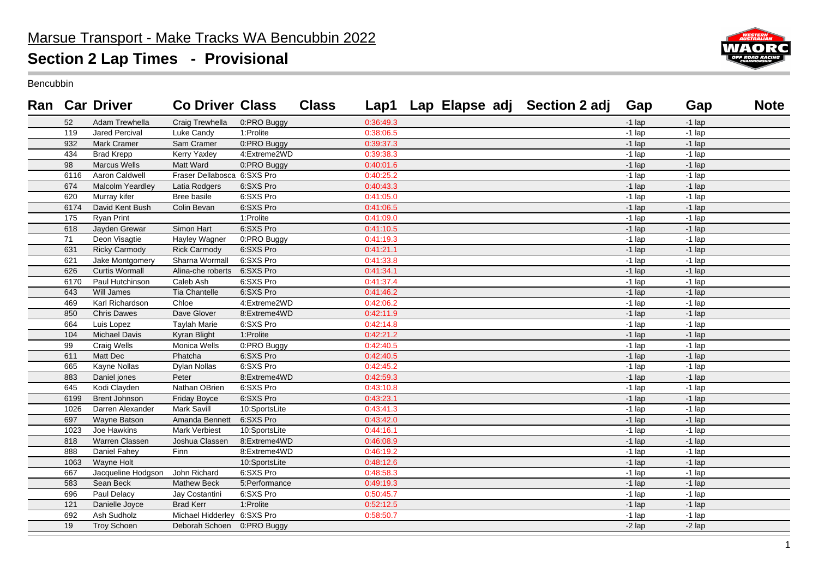

Bencubbin

|      | <b>Ran</b> Car Driver | <b>Co Driver Class</b>      |               | <b>Class</b> |           |  | Lap1 Lap Elapse adj Section 2 adj | Gap      | Gap      | <b>Note</b> |
|------|-----------------------|-----------------------------|---------------|--------------|-----------|--|-----------------------------------|----------|----------|-------------|
| 52   | Adam Trewhella        | Craig Trewhella             | 0:PRO Buggy   |              | 0:36:49.3 |  |                                   | $-1$ lap | $-1$ lap |             |
| 119  | Jared Percival        | Luke Candy                  | 1:Prolite     |              | 0:38:06.5 |  |                                   | $-1$ lap | $-1$ lap |             |
| 932  | <b>Mark Cramer</b>    | Sam Cramer                  | 0:PRO Buggy   |              | 0:39:37.3 |  |                                   | $-1$ lap | $-1$ lap |             |
| 434  | <b>Brad Krepp</b>     | Kerry Yaxley                | 4:Extreme2WD  |              | 0:39:38.3 |  |                                   | $-1$ lap | $-1$ lap |             |
| 98   | Marcus Wells          | Matt Ward                   | 0:PRO Buggy   |              | 0:40:01.6 |  |                                   | $-1$ lap | $-1$ lap |             |
| 6116 | Aaron Caldwell        | Fraser Dellabosca 6:SXS Pro |               |              | 0:40:25.2 |  |                                   | $-1$ lap | $-1$ lap |             |
| 674  | Malcolm Yeardley      | Latia Rodgers               | 6:SXS Pro     |              | 0:40:43.3 |  |                                   | $-1$ lap | $-1$ lap |             |
| 620  | Murray kifer          | Bree basile                 | 6:SXS Pro     |              | 0:41:05.0 |  |                                   | $-1$ lap | $-1$ lap |             |
| 6174 | David Kent Bush       | Colin Bevan                 | 6:SXS Pro     |              | 0:41:06.5 |  |                                   | $-1$ lap | $-1$ lap |             |
| 175  | <b>Ryan Print</b>     |                             | 1:Prolite     |              | 0:41:09.0 |  |                                   | $-1$ lap | $-1$ lap |             |
| 618  | Jayden Grewar         | Simon Hart                  | 6:SXS Pro     |              | 0:41:10.5 |  |                                   | $-1$ lap | $-1$ lap |             |
| 71   | Deon Visagtie         | Hayley Wagner               | 0:PRO Buggy   |              | 0:41:19.3 |  |                                   | $-1$ lap | $-1$ lap |             |
| 631  | <b>Ricky Carmody</b>  | <b>Rick Carmody</b>         | 6:SXS Pro     |              | 0:41:21.1 |  |                                   | $-1$ lap | $-1$ lap |             |
| 621  | Jake Montgomery       | Sharna Wormall              | 6:SXS Pro     |              | 0:41:33.8 |  |                                   | $-1$ lap | $-1$ lap |             |
| 626  | <b>Curtis Wormall</b> | Alina-che roberts           | 6:SXS Pro     |              | 0:41:34.1 |  |                                   | $-1$ lap | $-1$ lap |             |
| 6170 | Paul Hutchinson       | Caleb Ash                   | 6:SXS Pro     |              | 0:41:37.4 |  |                                   | $-1$ lap | $-1$ lap |             |
| 643  | Will James            | <b>Tia Chantelle</b>        | 6:SXS Pro     |              | 0:41:46.2 |  |                                   | $-1$ lap | $-1$ lap |             |
| 469  | Karl Richardson       | Chloe                       | 4:Extreme2WD  |              | 0:42:06.2 |  |                                   | $-1$ lap | $-1$ lap |             |
| 850  | <b>Chris Dawes</b>    | Dave Glover                 | 8:Extreme4WD  |              | 0:42:11.9 |  |                                   | $-1$ lap | $-1$ lap |             |
| 664  | Luis Lopez            | <b>Taylah Marie</b>         | 6:SXS Pro     |              | 0:42:14.8 |  |                                   | $-1$ lap | $-1$ lap |             |
| 104  | <b>Michael Davis</b>  | Kyran Blight                | 1:Prolite     |              | 0:42:21.2 |  |                                   | $-1$ lap | $-1$ lap |             |
| 99   | Craig Wells           | Monica Wells                | 0:PRO Buggy   |              | 0:42:40.5 |  |                                   | $-1$ lap | $-1$ lap |             |
| 611  | Matt Dec              | Phatcha                     | 6:SXS Pro     |              | 0:42:40.5 |  |                                   | $-1$ lap | $-1$ lap |             |
| 665  | Kayne Nollas          | Dylan Nollas                | 6:SXS Pro     |              | 0:42:45.2 |  |                                   | $-1$ lap | $-1$ lap |             |
| 883  | Daniel jones          | Peter                       | 8:Extreme4WD  |              | 0:42:59.3 |  |                                   | $-1$ lap | $-1$ lap |             |
| 645  | Kodi Clayden          | Nathan OBrien               | 6:SXS Pro     |              | 0:43:10.8 |  |                                   | $-1$ lap | $-1$ lap |             |
| 6199 | <b>Brent Johnson</b>  | <b>Friday Boyce</b>         | 6:SXS Pro     |              | 0:43:23.1 |  |                                   | $-1$ lap | $-1$ lap |             |
| 1026 | Darren Alexander      | Mark Savill                 | 10:SportsLite |              | 0:43:41.3 |  |                                   | $-1$ lap | $-1$ lap |             |
| 697  | Wayne Batson          | Amanda Bennett              | 6:SXS Pro     |              | 0:43:42.0 |  |                                   | $-1$ lap | $-1$ lap |             |
| 1023 | Joe Hawkins           | <b>Mark Verbiest</b>        | 10:SportsLite |              | 0:44:16.1 |  |                                   | $-1$ lap | $-1$ lap |             |
| 818  | Warren Classen        | Joshua Classen              | 8:Extreme4WD  |              | 0:46:08.9 |  |                                   | $-1$ lap | $-1$ lap |             |
| 888  | Daniel Fahey          | Finn                        | 8:Extreme4WD  |              | 0:46:19.2 |  |                                   | $-1$ lap | $-1$ lap |             |
| 1063 | Wayne Holt            |                             | 10:SportsLite |              | 0:48:12.6 |  |                                   | $-1$ lap | $-1$ lap |             |
| 667  | Jacqueline Hodgson    | John Richard                | 6:SXS Pro     |              | 0:48:58.3 |  |                                   | $-1$ lap | $-1$ lap |             |
| 583  | Sean Beck             | <b>Mathew Beck</b>          | 5:Performance |              | 0:49:19.3 |  |                                   | $-1$ lap | $-1$ lap |             |
| 696  | Paul Delacy           | Jay Costantini              | 6:SXS Pro     |              | 0:50:45.7 |  |                                   | $-1$ lap | $-1$ lap |             |
| 121  | Danielle Joyce        | <b>Brad Kerr</b>            | 1:Prolite     |              | 0:52:12.5 |  |                                   | $-1$ lap | $-1$ lap |             |
| 692  | Ash Sudholz           | Michael Hidderley 6:SXS Pro |               |              | 0:58:50.7 |  |                                   | $-1$ lap | $-1$ lap |             |
| 19   | <b>Troy Schoen</b>    | Deborah Schoen 0:PRO Buggy  |               |              |           |  |                                   | $-2$ lap | $-2$ lap |             |